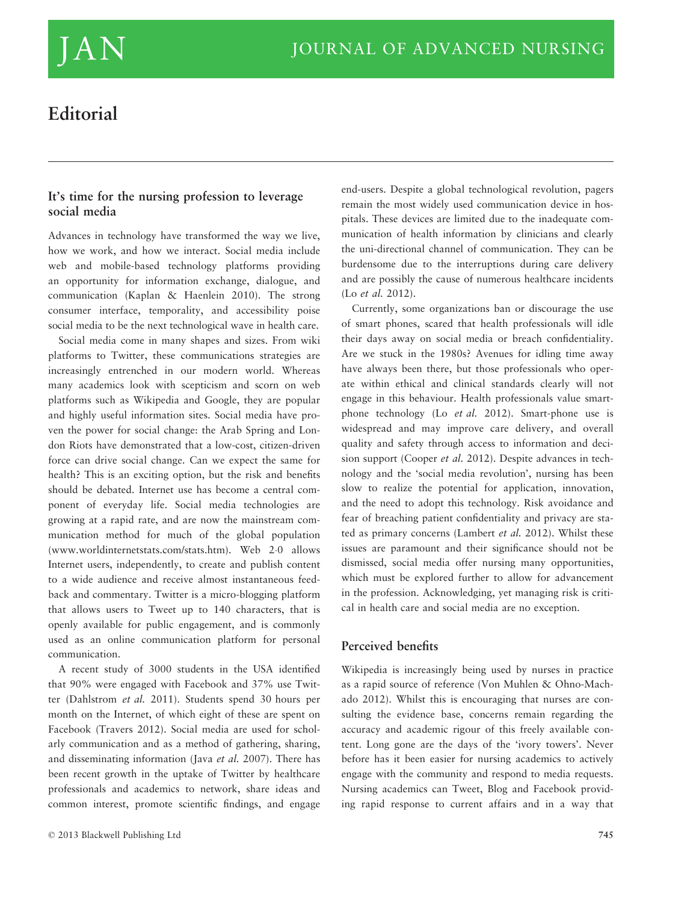# Editorial

## It's time for the nursing profession to leverage social media

Advances in technology have transformed the way we live, how we work, and how we interact. Social media include web and mobile-based technology platforms providing an opportunity for information exchange, dialogue, and communication (Kaplan & Haenlein 2010). The strong consumer interface, temporality, and accessibility poise social media to be the next technological wave in health care.

Social media come in many shapes and sizes. From wiki platforms to Twitter, these communications strategies are increasingly entrenched in our modern world. Whereas many academics look with scepticism and scorn on web platforms such as Wikipedia and Google, they are popular and highly useful information sites. Social media have proven the power for social change: the Arab Spring and London Riots have demonstrated that a low-cost, citizen-driven force can drive social change. Can we expect the same for health? This is an exciting option, but the risk and benefits should be debated. Internet use has become a central component of everyday life. Social media technologies are growing at a rapid rate, and are now the mainstream communication method for much of the global population (www.worldinternetstats.com/stats.htm). Web 2.0 allows Internet users, independently, to create and publish content to a wide audience and receive almost instantaneous feedback and commentary. Twitter is a micro-blogging platform that allows users to Tweet up to 140 characters, that is openly available for public engagement, and is commonly used as an online communication platform for personal communication.

A recent study of 3000 students in the USA identified that 90% were engaged with Facebook and 37% use Twitter (Dahlstrom et al. 2011). Students spend 30 hours per month on the Internet, of which eight of these are spent on Facebook (Travers 2012). Social media are used for scholarly communication and as a method of gathering, sharing, and disseminating information (Java et al. 2007). There has been recent growth in the uptake of Twitter by healthcare professionals and academics to network, share ideas and common interest, promote scientific findings, and engage end-users. Despite a global technological revolution, pagers remain the most widely used communication device in hospitals. These devices are limited due to the inadequate communication of health information by clinicians and clearly the uni-directional channel of communication. They can be burdensome due to the interruptions during care delivery and are possibly the cause of numerous healthcare incidents (Lo et al. 2012).

Currently, some organizations ban or discourage the use of smart phones, scared that health professionals will idle their days away on social media or breach confidentiality. Are we stuck in the 1980s? Avenues for idling time away have always been there, but those professionals who operate within ethical and clinical standards clearly will not engage in this behaviour. Health professionals value smartphone technology (Lo et al. 2012). Smart-phone use is widespread and may improve care delivery, and overall quality and safety through access to information and decision support (Cooper et al. 2012). Despite advances in technology and the 'social media revolution', nursing has been slow to realize the potential for application, innovation, and the need to adopt this technology. Risk avoidance and fear of breaching patient confidentiality and privacy are stated as primary concerns (Lambert et al. 2012). Whilst these issues are paramount and their significance should not be dismissed, social media offer nursing many opportunities, which must be explored further to allow for advancement in the profession. Acknowledging, yet managing risk is critical in health care and social media are no exception.

## Perceived benefits

Wikipedia is increasingly being used by nurses in practice as a rapid source of reference (Von Muhlen & Ohno-Machado 2012). Whilst this is encouraging that nurses are consulting the evidence base, concerns remain regarding the accuracy and academic rigour of this freely available content. Long gone are the days of the 'ivory towers'. Never before has it been easier for nursing academics to actively engage with the community and respond to media requests. Nursing academics can Tweet, Blog and Facebook providing rapid response to current affairs and in a way that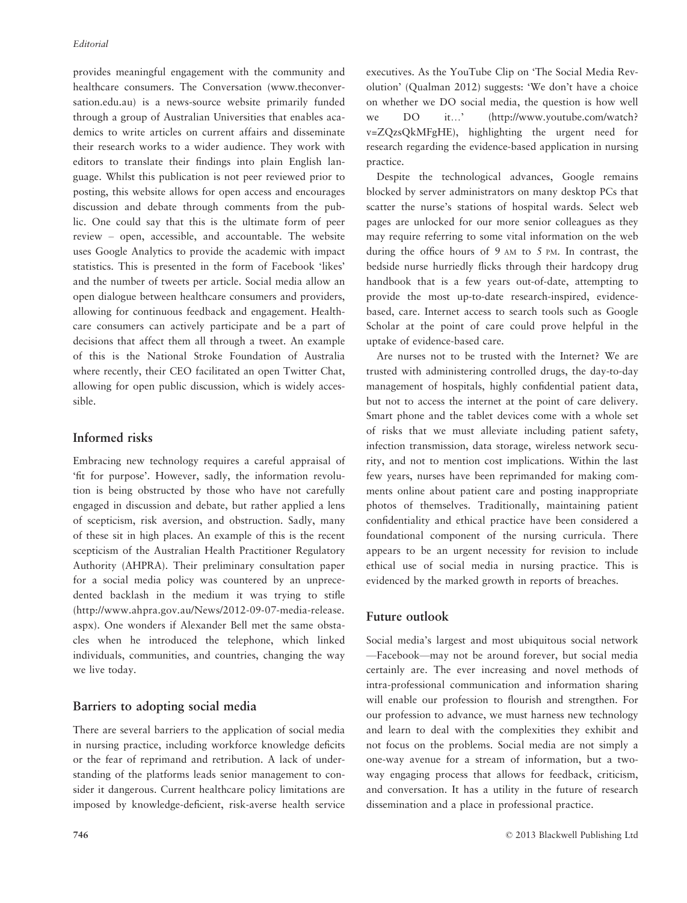provides meaningful engagement with the community and healthcare consumers. The Conversation (www.theconversation.edu.au) is a news-source website primarily funded through a group of Australian Universities that enables academics to write articles on current affairs and disseminate their research works to a wider audience. They work with editors to translate their findings into plain English language. Whilst this publication is not peer reviewed prior to posting, this website allows for open access and encourages discussion and debate through comments from the public. One could say that this is the ultimate form of peer review – open, accessible, and accountable. The website uses Google Analytics to provide the academic with impact statistics. This is presented in the form of Facebook 'likes' and the number of tweets per article. Social media allow an open dialogue between healthcare consumers and providers, allowing for continuous feedback and engagement. Healthcare consumers can actively participate and be a part of decisions that affect them all through a tweet. An example of this is the National Stroke Foundation of Australia where recently, their CEO facilitated an open Twitter Chat, allowing for open public discussion, which is widely accessible.

#### Informed risks

Embracing new technology requires a careful appraisal of 'fit for purpose'. However, sadly, the information revolution is being obstructed by those who have not carefully engaged in discussion and debate, but rather applied a lens of scepticism, risk aversion, and obstruction. Sadly, many of these sit in high places. An example of this is the recent scepticism of the Australian Health Practitioner Regulatory Authority (AHPRA). Their preliminary consultation paper for a social media policy was countered by an unprecedented backlash in the medium it was trying to stifle (http://www.ahpra.gov.au/News/2012-09-07-media-release. aspx). One wonders if Alexander Bell met the same obstacles when he introduced the telephone, which linked individuals, communities, and countries, changing the way we live today.

## Barriers to adopting social media

There are several barriers to the application of social media in nursing practice, including workforce knowledge deficits or the fear of reprimand and retribution. A lack of understanding of the platforms leads senior management to consider it dangerous. Current healthcare policy limitations are imposed by knowledge-deficient, risk-averse health service executives. As the YouTube Clip on 'The Social Media Revolution' (Qualman 2012) suggests: 'We don't have a choice on whether we DO social media, the question is how well we DO it…' (http://www.youtube.com/watch? v=ZQzsQkMFgHE), highlighting the urgent need for research regarding the evidence-based application in nursing practice.

Despite the technological advances, Google remains blocked by server administrators on many desktop PCs that scatter the nurse's stations of hospital wards. Select web pages are unlocked for our more senior colleagues as they may require referring to some vital information on the web during the office hours of 9 AM to 5 PM. In contrast, the bedside nurse hurriedly flicks through their hardcopy drug handbook that is a few years out-of-date, attempting to provide the most up-to-date research-inspired, evidencebased, care. Internet access to search tools such as Google Scholar at the point of care could prove helpful in the uptake of evidence-based care.

Are nurses not to be trusted with the Internet? We are trusted with administering controlled drugs, the day-to-day management of hospitals, highly confidential patient data, but not to access the internet at the point of care delivery. Smart phone and the tablet devices come with a whole set of risks that we must alleviate including patient safety, infection transmission, data storage, wireless network security, and not to mention cost implications. Within the last few years, nurses have been reprimanded for making comments online about patient care and posting inappropriate photos of themselves. Traditionally, maintaining patient confidentiality and ethical practice have been considered a foundational component of the nursing curricula. There appears to be an urgent necessity for revision to include ethical use of social media in nursing practice. This is evidenced by the marked growth in reports of breaches.

## Future outlook

Social media's largest and most ubiquitous social network —Facebook—may not be around forever, but social media certainly are. The ever increasing and novel methods of intra-professional communication and information sharing will enable our profession to flourish and strengthen. For our profession to advance, we must harness new technology and learn to deal with the complexities they exhibit and not focus on the problems. Social media are not simply a one-way avenue for a stream of information, but a twoway engaging process that allows for feedback, criticism, and conversation. It has a utility in the future of research dissemination and a place in professional practice.